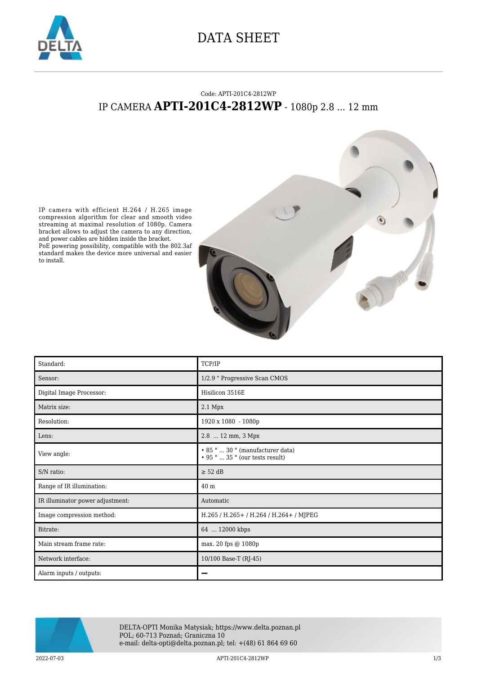

## DATA SHEET

## Code: APTI-201C4-2812WP IP CAMERA **APTI-201C4-2812WP** - 1080p 2.8 ... 12 mm



IP camera with efficient H.264 / H.265 image compression algorithm for clear and smooth video streaming at maximal resolution of 1080p. Camera bracket allows to adjust the camera to any direction, and power cables are hidden inside the bracket. PoE powering possibility, compatible with the 802.3af standard makes the device more universal and easier to install.

| Standard:                        | TCP/IP                                                                  |
|----------------------------------|-------------------------------------------------------------------------|
| Sensor:                          | 1/2.9 " Progressive Scan CMOS                                           |
| Digital Image Processor:         | Hisilicon 3516E                                                         |
| Matrix size:                     | $2.1$ Mpx                                                               |
| Resolution:                      | 1920 x 1080 - 1080p                                                     |
| Lens:                            | 2.8  12 mm, 3 Mpx                                                       |
| View angle:                      | • 85°  30° (manufacturer data)<br>$\cdot$ 95 °  35 ° (our tests result) |
| S/N ratio:                       | $\geq$ 52 dB                                                            |
| Range of IR illumination:        | 40 <sub>m</sub>                                                         |
| IR illuminator power adjustment: | Automatic                                                               |
| Image compression method:        | H.265 / H.265+ / H.264 / H.264+ / MJPEG                                 |
| Bitrate:                         | 64  12000 kbps                                                          |
| Main stream frame rate:          | max. 20 fps @ 1080p                                                     |
| Network interface:               | 10/100 Base-T (RJ-45)                                                   |
| Alarm inputs / outputs:          |                                                                         |



DELTA-OPTI Monika Matysiak; https://www.delta.poznan.pl POL; 60-713 Poznań; Graniczna 10 e-mail: delta-opti@delta.poznan.pl; tel: +(48) 61 864 69 60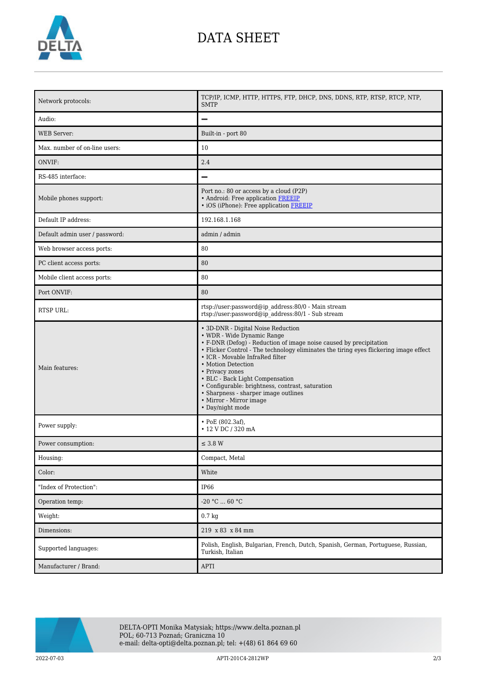

## DATA SHEET

| Network protocols:             | TCP/IP, ICMP, HTTP, HTTPS, FTP, DHCP, DNS, DDNS, RTP, RTSP, RTCP, NTP,<br><b>SMTP</b>                                                                                                                                                                                                                                                                                                                                                                                                     |
|--------------------------------|-------------------------------------------------------------------------------------------------------------------------------------------------------------------------------------------------------------------------------------------------------------------------------------------------------------------------------------------------------------------------------------------------------------------------------------------------------------------------------------------|
| Audio:                         | $\overline{\phantom{0}}$                                                                                                                                                                                                                                                                                                                                                                                                                                                                  |
| <b>WEB</b> Server:             | Built-in - port 80                                                                                                                                                                                                                                                                                                                                                                                                                                                                        |
| Max. number of on-line users:  | 10                                                                                                                                                                                                                                                                                                                                                                                                                                                                                        |
| ONVIF:                         | 2.4                                                                                                                                                                                                                                                                                                                                                                                                                                                                                       |
| RS-485 interface:              | $\overline{\phantom{0}}$                                                                                                                                                                                                                                                                                                                                                                                                                                                                  |
| Mobile phones support:         | Port no.: 80 or access by a cloud (P2P)<br>• Android: Free application FREEIP<br>• iOS (iPhone): Free application FREEIP                                                                                                                                                                                                                                                                                                                                                                  |
| Default IP address:            | 192.168.1.168                                                                                                                                                                                                                                                                                                                                                                                                                                                                             |
| Default admin user / password: | admin / admin                                                                                                                                                                                                                                                                                                                                                                                                                                                                             |
| Web browser access ports:      | 80                                                                                                                                                                                                                                                                                                                                                                                                                                                                                        |
| PC client access ports:        | 80                                                                                                                                                                                                                                                                                                                                                                                                                                                                                        |
| Mobile client access ports:    | 80                                                                                                                                                                                                                                                                                                                                                                                                                                                                                        |
| Port ONVIF:                    | 80                                                                                                                                                                                                                                                                                                                                                                                                                                                                                        |
| RTSP URL:                      | rtsp://user:password@ip_address:80/0 - Main stream<br>rtsp://user.password@ip_address:80/1 - Sub stream                                                                                                                                                                                                                                                                                                                                                                                   |
| Main features:                 | • 3D-DNR - Digital Noise Reduction<br>• WDR - Wide Dynamic Range<br>• F-DNR (Defog) - Reduction of image noise caused by precipitation<br>• Flicker Control - The technology eliminates the tiring eyes flickering image effect<br>• ICR - Movable InfraRed filter<br>• Motion Detection<br>• Privacy zones<br>• BLC - Back Light Compensation<br>· Configurable: brightness, contrast, saturation<br>• Sharpness - sharper image outlines<br>• Mirror - Mirror image<br>• Day/night mode |
| Power supply:                  | $\cdot$ PoE (802.3af),<br>• 12 V DC / 320 mA                                                                                                                                                                                                                                                                                                                                                                                                                                              |
| Power consumption:             | $\leq$ 3.8 W                                                                                                                                                                                                                                                                                                                                                                                                                                                                              |
| Housing:                       | Compact, Metal                                                                                                                                                                                                                                                                                                                                                                                                                                                                            |
| Color:                         | White                                                                                                                                                                                                                                                                                                                                                                                                                                                                                     |
| "Index of Protection":         | <b>IP66</b>                                                                                                                                                                                                                                                                                                                                                                                                                                                                               |
| Operation temp:                | $-20$ °C $\ldots$ 60 °C                                                                                                                                                                                                                                                                                                                                                                                                                                                                   |
| Weight:                        | $0.7 \text{ kg}$                                                                                                                                                                                                                                                                                                                                                                                                                                                                          |
| Dimensions:                    | 219 x 83 x 84 mm                                                                                                                                                                                                                                                                                                                                                                                                                                                                          |
| Supported languages:           | Polish, English, Bulgarian, French, Dutch, Spanish, German, Portuguese, Russian,<br>Turkish, Italian                                                                                                                                                                                                                                                                                                                                                                                      |
| Manufacturer / Brand:          | APTI                                                                                                                                                                                                                                                                                                                                                                                                                                                                                      |